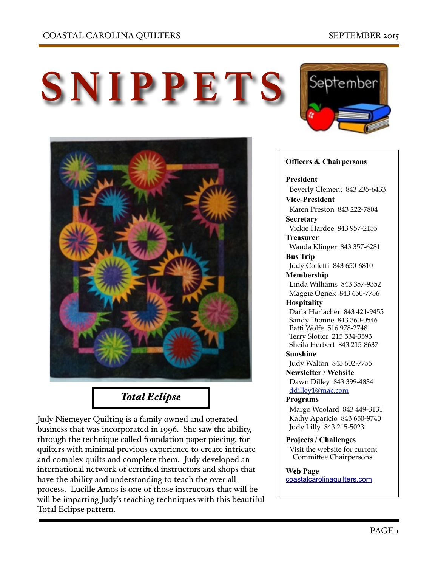



# *Total Eclipse*

Judy Niemeyer Quilting is a family owned and operated business that was incorporated in 1996. She saw the ability, through the technique called foundation paper piecing, for quilters with minimal previous experience to create intricate and complex quilts and complete them. Judy developed an international network of certified instructors and shops that have the ability and understanding to teach the over all process. Lucille Amos is one of those instructors that will be will be imparting Judy's teaching techniques with this beautiful Total Eclipse pattern.



### **Officers & Chairpersons**

#### **President**

 Beverly Clement 843 235-6433 **Vice-President** 

Karen Preston 843 222-7804

**Secretary** Vickie Hardee 843 957-2155

**Treasurer** 

 Wanda Klinger 843 357-6281 **Bus Trip** 

Judy Colletti 843 650-6810

**Membership** 

 Linda Williams 843 357-9352 Maggie Ognek 843 650-7736

### **Hospitality**

 Darla Harlacher 843 421-9455 Sandy Dionne 843 360-0546 Patti Wolfe 516 978-2748 Terry Slotter 215 534-3593 Sheila Herbert 843 215-8637

**Sunshine** 

Judy Walton 843 602-7755

**Newsletter / Website** Dawn Dilley 843 399-4834 [ddilley1@mac.com](mailto:ddilley1@mac.com)

#### **Programs**

Margo Woolard 843 449-3131 Kathy Aparicio 843 650-9740 Judy Lilly 843 215-5023

**Projects / Challenges**  Visit the website for current Committee Chairpersons

### **Web Page**

[coastalcarolinaquilters.com](http://coastalcarolinaquilters.com)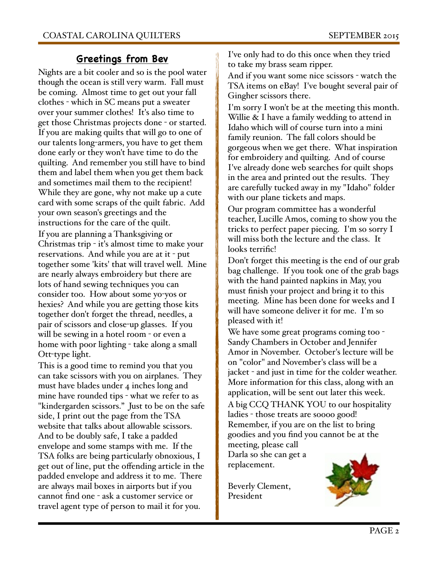## **Greetings from Bev**

Nights are a bit cooler and so is the pool water though the ocean is still very warm. Fall must be coming. Almost time to get out your fall clothes - which in SC means put a sweater over your summer clothes! It's also time to get those Christmas projects done - or started. If you are making quilts that will go to one of our talents long-armers, you have to get them done early or they won't have time to do the quilting. And remember you still have to bind them and label them when you get them back and sometimes mail them to the recipient! While they are gone, why not make up a cute card with some scraps of the quilt fabric. Add your own season's greetings and the instructions for the care of the quilt. If you are planning a Thanksgiving or Christmas trip - it's almost time to make your reservations. And while you are at it - put together some 'kits' that will travel well. Mine are nearly always embroidery but there are lots of hand sewing techniques you can consider too. How about some yo-yos or hexies? And while you are getting those kits together don't forget the thread, needles, a pair of scissors and close-up glasses. If you will be sewing in a hotel room - or even a home with poor lighting - take along a small Ott-type light.

This is a good time to remind you that you can take scissors with you on airplanes. They must have blades under 4 inches long and mine have rounded tips - what we refer to as "kindergarden scissors." Just to be on the safe side, I print out the page from the TSA website that talks about allowable scissors. And to be doubly safe, I take a padded envelope and some stamps with me. If the TSA folks are being particularly obnoxious, I get out of line, put the offending article in the padded envelope and address it to me. There are always mail boxes in airports but if you cannot find one - ask a customer service or travel agent type of person to mail it for you.

I've only had to do this once when they tried to take my brass seam ripper.

And if you want some nice scissors - watch the TSA items on eBay! I've bought several pair of Gingher scissors there.

I'm sorry I won't be at the meeting this month. Willie & I have a family wedding to attend in Idaho which will of course turn into a mini family reunion. The fall colors should be gorgeous when we get there. What inspiration for embroidery and quilting. And of course I've already done web searches for quilt shops in the area and printed out the results. They are carefully tucked away in my "Idaho" folder with our plane tickets and maps.

Our program committee has a wonderful teacher, Lucille Amos, coming to show you the tricks to perfect paper piecing. I'm so sorry I will miss both the lecture and the class. It looks terrific!

Don't forget this meeting is the end of our grab bag challenge. If you took one of the grab bags with the hand painted napkins in May, you must finish your project and bring it to this meeting. Mine has been done for weeks and I will have someone deliver it for me. I'm so pleased with it!

We have some great programs coming too -Sandy Chambers in October and Jennifer Amor in November. October's lecture will be on "color" and November's class will be a jacket - and just in time for the colder weather. More information for this class, along with an application, will be sent out later this week. A big CCQ THANK YOU to our hospitality ladies - those treats are soooo good! Remember, if you are on the list to bring goodies and you find you cannot be at the

meeting, please call Darla so she can get a replacement.

Beverly Clement, President

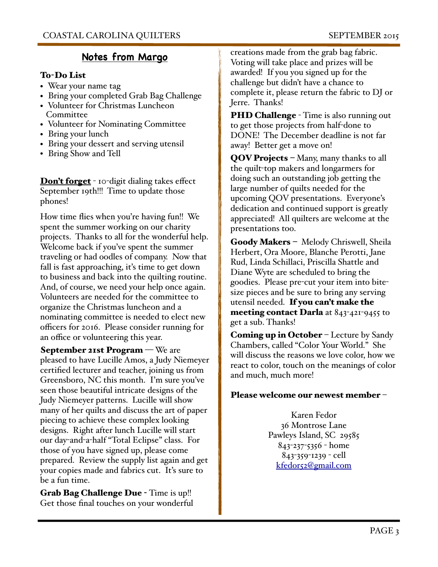# **Notes from Margo**

## To-Do List

- Wear your name tag
- Bring your completed Grab Bag Challenge
- Volunteer for Christmas Luncheon **Committee**
- Volunteer for Nominating Committee
- Bring your lunch
- Bring your dessert and serving utensil
- Bring Show and Tell

**Don't forget** - 10-digit dialing takes effect September 19th!!! Time to update those phones!

How time flies when you're having fun!! We spent the summer working on our charity projects. Thanks to all for the wonderful help. Welcome back if you've spent the summer traveling or had oodles of company. Now that fall is fast approaching, it's time to get down to business and back into the quilting routine. And, of course, we need your help once again. Volunteers are needed for the committee to organize the Christmas luncheon and a nominating committee is needed to elect new officers for 2016. Please consider running for an office or volunteering this year.

September 21st Program – We are pleased to have Lucille Amos, a Judy Niemeyer certified lecturer and teacher, joining us from Greensboro, NC this month. I'm sure you've seen those beautiful intricate designs of the Judy Niemeyer patterns. Lucille will show many of her quilts and discuss the art of paper piecing to achieve these complex looking designs. Right after lunch Lucille will start our day-and-a-half "Total Eclipse" class. For those of you have signed up, please come prepared. Review the supply list again and get your copies made and fabrics cut. It's sure to be a fun time.

Grab Bag Challenge Due - Time is up!! Get those final touches on your wonderful

creations made from the grab bag fabric. Voting will take place and prizes will be awarded! If you you signed up for the challenge but didn't have a chance to complete it, please return the fabric to DJ or Jerre. Thanks!

**PHD Challenge** - Time is also running out to get those projects from half-done to DONE! The December deadline is not far away! Better get a move on!

QOV Projects - Many, many thanks to all the quilt-top makers and longarmers for doing such an outstanding job getting the large number of quilts needed for the upcoming QOV presentations. Everyone's dedication and continued support is greatly appreciated! All quilters are welcome at the presentations too.

Goody Makers - Melody Chriswell, Sheila Herbert, Ora Moore, Blanche Perotti, Jane Rud, Linda Schillaci, Priscilla Shattle and Diane Wyte are scheduled to bring the goodies. Please pre-cut your item into bitesize pieces and be sure to bring any serving utensil needed. If you can't make the **meeting contact Darla** at  $843-421-9455$  to get a sub. Thanks!

Coming up in October – Lecture by Sandy Chambers, called "Color Your World." She will discuss the reasons we love color, how we react to color, touch on the meanings of color and much, much more!

## Please welcome our newest member –

Karen Fedor 36 Montrose Lane Pawleys Island, SC 29585 843-237-5356 - home 843-359-1239 - cell [kfedor52@gmail.com](mailto:kfedor52@gmail.com)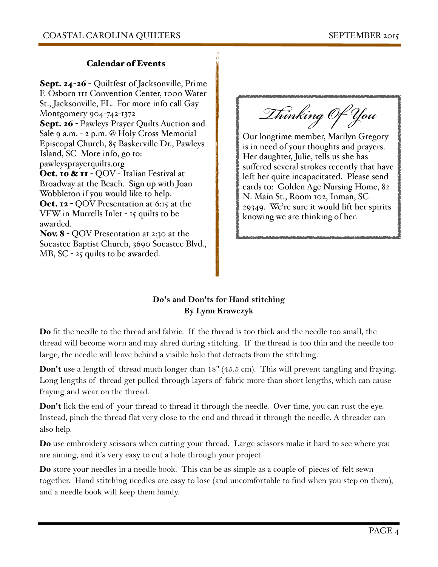### Calendar of Events

Sept. 24-26 - Quiltfest of Jacksonville, Prime F. Osborn 111 Convention Center, 1000 Water St., Jacksonville, FL. For more info call Gay Montgomery 904-742-1372 Sept. 26 - Pawleys Prayer Quilts Auction and Sale 9 a.m. - 2 p.m. @ Holy Cross Memorial Episcopal Church, 85 Baskerville Dr., Pawleys Island, SC More info, go to: pawleysprayerquilts.org Oct. 10 & 11 - QOV - Italian Festival at Broadway at the Beach. Sign up with Joan Wobbleton if you would like to help. Oct. 12 - QOV Presentation at 6:15 at the VFW in Murrells Inlet - 15 quilts to be awarded.

Nov. 8 - QOV Presentation at 2:30 at the Socastee Baptist Church, 3690 Socastee Blvd., MB, SC - 25 quilts to be awarded.

T*in*k*ing O*f *Y*o*u* 

Our longtime member, Marilyn Gregory is in need of your thoughts and prayers. Her daughter, Julie, tells us she has suffered several strokes recently that have left her quite incapacitated. Please send cards to: Golden Age Nursing Home, 82 N. Main St., Room 102, Inman, SC 29349. We're sure it would lift her spirits knowing we are thinking of her.

## **Do's and Don'ts for Hand stitching By Lynn Krawczyk**

**Do** fit the needle to the thread and fabric. If the thread is too thick and the needle too small, the thread will become worn and may shred during stitching. If the thread is too thin and the needle too large, the needle will leave behind a visible hole that detracts from the stitching.

**Don't** use a length of thread much longer than 18" (45.5 cm). This will prevent tangling and fraying. Long lengths of thread get pulled through layers of fabric more than short lengths, which can cause fraying and wear on the thread.

**Don't** lick the end of your thread to thread it through the needle. Over time, you can rust the eye. Instead, pinch the thread flat very close to the end and thread it through the needle. A threader can also help.

**Do** use embroidery scissors when cutting your thread. Large scissors make it hard to see where you are aiming, and it's very easy to cut a hole through your project.

**Do** store your needles in a needle book. This can be as simple as a couple of pieces of felt sewn together. Hand stitching needles are easy to lose (and uncomfortable to find when you step on them), and a needle book will keep them handy.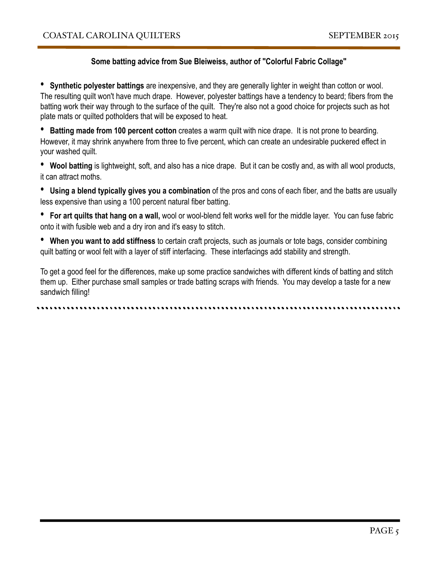### **Some batting advice from Sue Bleiweiss, author of "Colorful Fabric Collage"**

• **Synthetic polyester battings** are inexpensive, and they are generally lighter in weight than cotton or wool. The resulting quilt won't have much drape. However, polyester battings have a tendency to beard; fibers from the batting work their way through to the surface of the quilt. They're also not a good choice for projects such as hot plate mats or quilted potholders that will be exposed to heat.

• **Batting made from 100 percent cotton** creates a warm quilt with nice drape. It is not prone to bearding. However, it may shrink anywhere from three to five percent, which can create an undesirable puckered effect in your washed quilt.

• **Wool batting** is lightweight, soft, and also has a nice drape. But it can be costly and, as with all wool products, it can attract moths.

• **Using a blend typically gives you a combination** of the pros and cons of each fiber, and the batts are usually less expensive than using a 100 percent natural fiber batting.

• **For art quilts that hang on a wall,** wool or wool-blend felt works well for the middle layer. You can fuse fabric onto it with fusible web and a dry iron and it's easy to stitch.

• **When you want to add stiffness** to certain craft projects, such as journals or tote bags, consider combining quilt batting or wool felt with a layer of stiff interfacing. These interfacings add stability and strength.

To get a good feel for the differences, make up some practice sandwiches with different kinds of batting and stitch them up. Either purchase small samples or trade batting scraps with friends. You may develop a taste for a new sandwich filling!